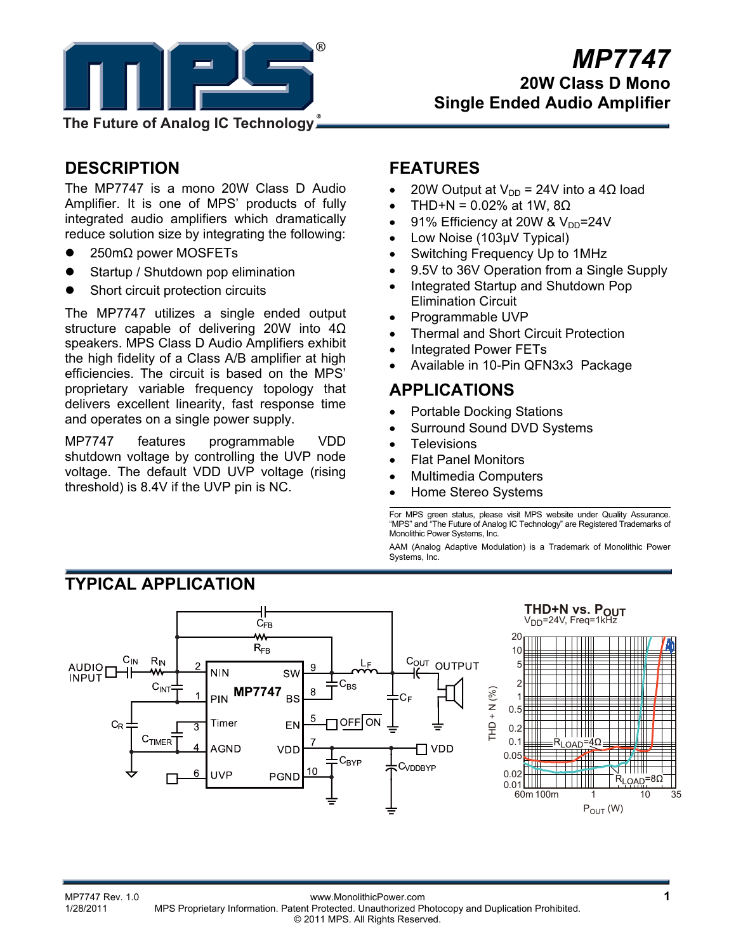

# **DESCRIPTION**

The MP7747 is a mono 20W Class D Audio Amplifier. It is one of MPS' products of fully integrated audio amplifiers which dramatically reduce solution size by integrating the following:

- 250mΩ power MOSFETs
- Startup / Shutdown pop elimination
- Short circuit protection circuits

**TYPICAL APPLICATION**

The MP7747 utilizes a single ended output structure capable of delivering 20W into 4Ω speakers. MPS Class D Audio Amplifiers exhibit the high fidelity of a Class A/B amplifier at high efficiencies. The circuit is based on the MPS' proprietary variable frequency topology that delivers excellent linearity, fast response time and operates on a single power supply.

MP7747 features programmable VDD shutdown voltage by controlling the UVP node voltage. The default VDD UVP voltage (rising threshold) is 8.4V if the UVP pin is NC.

# **FEATURES**

- 20W Output at  $V_{DD}$  = 24V into a 4Ω load
- THD+N =  $0.02%$  at 1W,  $8Ω$
- 91% Efficiency at 20W &  $V_{DD} = 24V$
- Low Noise (103µV Typical)
- Switching Frequency Up to 1MHz
- 9.5V to 36V Operation from a Single Supply
- Integrated Startup and Shutdown Pop Elimination Circuit
- Programmable UVP
- Thermal and Short Circuit Protection
- Integrated Power FETs
- Available in 10-Pin QFN3x3 Package

# **APPLICATIONS**

- Portable Docking Stations
- Surround Sound DVD Systems
- **Televisions**
- Flat Panel Monitors
- Multimedia Computers
- Home Stereo Systems

For MPS green status, please visit MPS website under Quality Assurance. "MPS" and "The Future of Analog IC Technology" are Registered Trademarks of Monolithic Power Systems, Inc.

AAM (Analog Adaptive Modulation) is a Trademark of Monolithic Power Systems, Inc.



**THD+N vs. POUT** V<sub>DD</sub>=24V, Freq=1kH

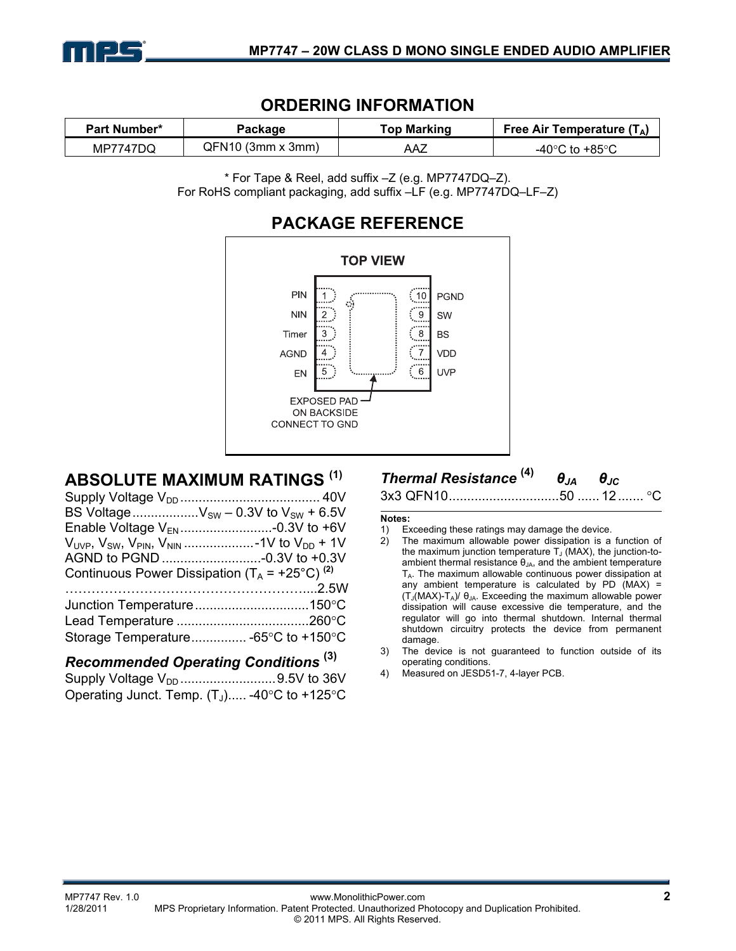

## **ORDERING INFORMATION**

| <b>Part Number*</b> | Package             | Top Marking | Free Air Temperature $(T_A)$         |
|---------------------|---------------------|-------------|--------------------------------------|
| MP7747DQ            | $QFM10$ (3mm x 3mm) | AAZ         | -40 $^{\circ}$ C to +85 $^{\circ}$ C |

\* For Tape & Reel, add suffix –Z (e.g. MP7747DQ–Z). For RoHS compliant packaging, add suffix –LF (e.g. MP7747DQ–LF–Z)



# **ABSOLUTE MAXIMUM RATINGS (1)**

| ADJULU I L MAAIMUM INATINUJ                               |  |
|-----------------------------------------------------------|--|
|                                                           |  |
| BS Voltage $V_{SW}$ – 0.3V to $V_{SW}$ + 6.5V             |  |
|                                                           |  |
|                                                           |  |
|                                                           |  |
| Continuous Power Dissipation $(T_A = +25^{\circ}C)^{(2)}$ |  |
|                                                           |  |
|                                                           |  |
|                                                           |  |
| Storage Temperature -65°C to +150°C                       |  |
|                                                           |  |

### *Recommended Operating Conditions* **(3)**

| Supply Voltage V <sub>DD</sub> 9.5V to 36V     |  |
|------------------------------------------------|--|
| Operating Junct. Temp. $(T_J)$ -40°C to +125°C |  |

# *Thermal Resistance* **(4)** *θJA θJC*

3x3 QFN10 .............................. 50 ...... 12 ....... °C

#### **Notes:**

- 1) Exceeding these ratings may damage the device.
- 2) The maximum allowable power dissipation is a function of the maximum junction temperature  $T<sub>1</sub>$  (MAX), the junction-toambient thermal resistance  $\theta_{JA}$ , and the ambient temperature  $T_A$ . The maximum allowable continuous power dissipation at any ambient temperature is calculated by PD (MAX) =  $(T_J(MAX)-T_A)/\theta_{JA}$ . Exceeding the maximum allowable power dissipation will cause excessive die temperature, and the regulator will go into thermal shutdown. Internal thermal shutdown circuitry protects the device from permanent damage.
- 3) The device is not guaranteed to function outside of its operating conditions.
- 4) Measured on JESD51-7, 4-layer PCB.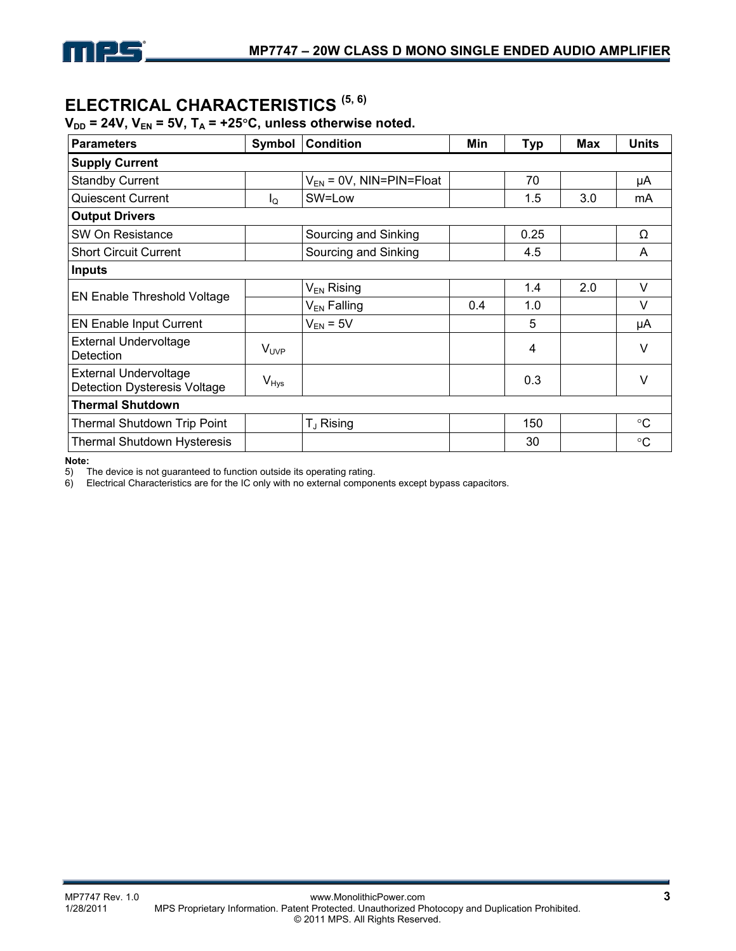# **ELECTRICAL CHARACTERISTICS (5, 6)**

### $V_{DD}$  = 24V,  $V_{EN}$  = 5V,  $T_A$  = +25°C, unless otherwise noted.

| <b>Parameters</b>                                                   | Symbol           | <b>Condition</b>             | Min | <b>Typ</b> | <b>Max</b> | <b>Units</b>    |
|---------------------------------------------------------------------|------------------|------------------------------|-----|------------|------------|-----------------|
| <b>Supply Current</b>                                               |                  |                              |     |            |            |                 |
| <b>Standby Current</b>                                              |                  | $V_{EN}$ = 0V, NIN=PIN=Float |     | 70         |            | μA              |
| <b>Quiescent Current</b>                                            | Ιo               | SW=Low                       |     | 1.5        | 3.0        | mA              |
| <b>Output Drivers</b>                                               |                  |                              |     |            |            |                 |
| SW On Resistance                                                    |                  | Sourcing and Sinking         |     | 0.25       |            | Ω               |
| <b>Short Circuit Current</b>                                        |                  | Sourcing and Sinking         |     | 4.5        |            | A               |
| <b>Inputs</b>                                                       |                  |                              |     |            |            |                 |
| <b>EN Enable Threshold Voltage</b>                                  |                  | V <sub>EN</sub> Rising       |     | 1.4        | 2.0        | V               |
|                                                                     |                  | V <sub>EN</sub> Falling      | 0.4 | 1.0        |            | V               |
| <b>EN Enable Input Current</b>                                      |                  | $V_{EN} = 5V$                |     | 5          |            | μA              |
| <b>External Undervoltage</b><br>Detection                           | $V_{\text{UVP}}$ |                              |     | 4          |            | $\vee$          |
| <b>External Undervoltage</b><br><b>Detection Dysteresis Voltage</b> | $V_{Hys}$        |                              |     | 0.3        |            | $\vee$          |
| <b>Thermal Shutdown</b>                                             |                  |                              |     |            |            |                 |
| <b>Thermal Shutdown Trip Point</b>                                  |                  | T <sub>J</sub> Rising        |     | 150        |            | $\rm ^{\circ}C$ |
| <b>Thermal Shutdown Hysteresis</b>                                  |                  |                              |     | 30         |            | $^{\circ}C$     |

**Note:** 

5) The device is not guaranteed to function outside its operating rating.<br>6) Electrical Characteristics are for the IC only with no external compon

Electrical Characteristics are for the IC only with no external components except bypass capacitors.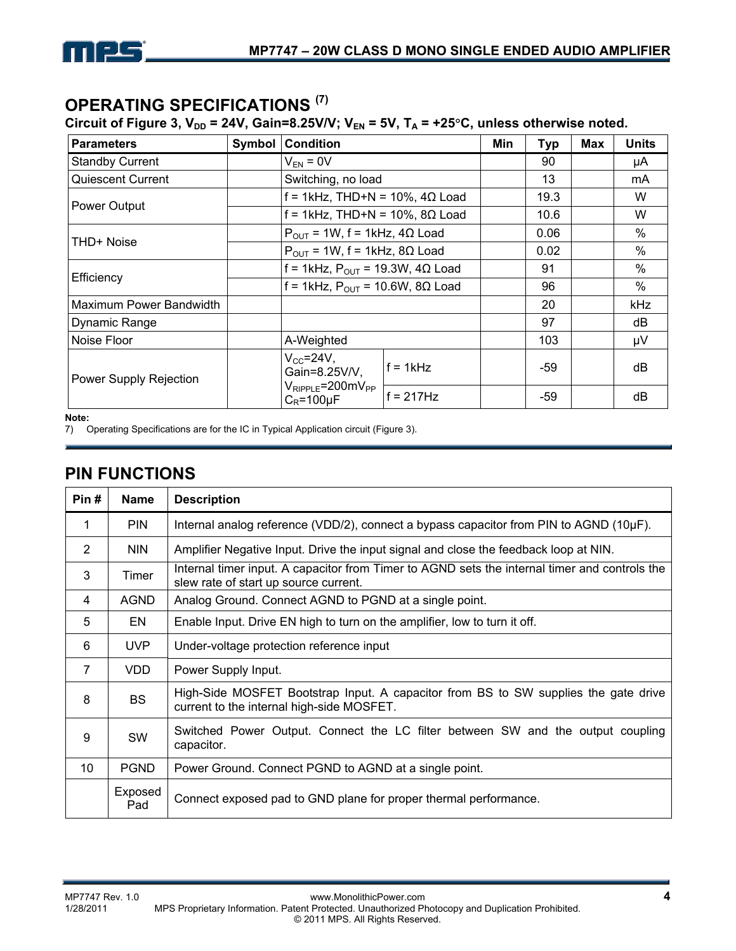

# **OPERATING SPECIFICATIONS (7)**

Circuit of Figure 3,  $V_{DD}$  = 24V, Gain=8.25V/V; V<sub>EN</sub> = 5V, T<sub>A</sub> = +25°C, unless otherwise noted.

| <b>Parameters</b>        | Symbol | <b>Condition</b>                                   | Min         | <b>Typ</b> | Max  | <b>Units</b> |    |
|--------------------------|--------|----------------------------------------------------|-------------|------------|------|--------------|----|
| <b>Standby Current</b>   |        | $V_{FN} = 0V$                                      |             | 90         |      | μA           |    |
| <b>Quiescent Current</b> |        | Switching, no load                                 |             |            | 13   |              | mA |
|                          |        | $f = 1$ kHz, THD+N = 10%, 4 $\Omega$ Load          |             |            | 19.3 |              | W  |
| Power Output             |        | $f = 1kHz$ , THD+N = 10%, 8 $\Omega$ Load          |             | 10.6       |      | W            |    |
| THD+ Noise               |        | $P_{OUT}$ = 1W, f = 1kHz, 4 $\Omega$ Load          |             | 0.06       |      | $\%$         |    |
|                          |        | $P_{OUT}$ = 1W, f = 1kHz, 8 $\Omega$ Load          |             | 0.02       |      | $\%$         |    |
|                          |        | f = 1kHz, $P_{OUT}$ = 19.3W, 4 $\Omega$ Load       |             | 91         |      | $\%$         |    |
| Efficiency               |        | f = 1kHz, $P_{OUT}$ = 10.6W, 8 $\Omega$ Load       |             | 96         |      | $\%$         |    |
| Maximum Power Bandwidth  |        |                                                    |             | 20         |      | <b>kHz</b>   |    |
| Dynamic Range            |        |                                                    |             | 97         |      | dB           |    |
| Noise Floor              |        | A-Weighted                                         |             |            | 103  |              | μV |
| Power Supply Rejection   |        | $V_{CC} = 24V$ ,<br>Gain=8.25V/V,                  | $f = 1kHz$  |            | -59  |              | dB |
|                          |        | $V_{RIPPLE} = 200$ m $V_{PP}$<br>$C_R = 100 \mu F$ | $f = 217Hz$ |            | -59  |              | dB |

**Note:** 

7) Operating Specifications are for the IC in Typical Application circuit (Figure 3).

# **PIN FUNCTIONS**

| Pin#            | <b>Name</b>    | <b>Description</b>                                                                                                                     |
|-----------------|----------------|----------------------------------------------------------------------------------------------------------------------------------------|
| 1               | <b>PIN</b>     | Internal analog reference (VDD/2), connect a bypass capacitor from PIN to AGND $(10\mu F)$ .                                           |
| 2               | <b>NIN</b>     | Amplifier Negative Input. Drive the input signal and close the feedback loop at NIN.                                                   |
| 3               | Timer          | Internal timer input. A capacitor from Timer to AGND sets the internal timer and controls the<br>slew rate of start up source current. |
| 4               | AGND           | Analog Ground. Connect AGND to PGND at a single point.                                                                                 |
| 5               | EN             | Enable Input. Drive EN high to turn on the amplifier, low to turn it off.                                                              |
| 6               | UVP            | Under-voltage protection reference input                                                                                               |
| $\overline{7}$  | VDD.           | Power Supply Input.                                                                                                                    |
| 8               | <b>BS</b>      | High-Side MOSFET Bootstrap Input. A capacitor from BS to SW supplies the gate drive<br>current to the internal high-side MOSFET.       |
| 9               | <b>SW</b>      | Switched Power Output. Connect the LC filter between SW and the output coupling<br>capacitor.                                          |
| 10 <sup>°</sup> | <b>PGND</b>    | Power Ground. Connect PGND to AGND at a single point.                                                                                  |
|                 | Exposed<br>Pad | Connect exposed pad to GND plane for proper thermal performance.                                                                       |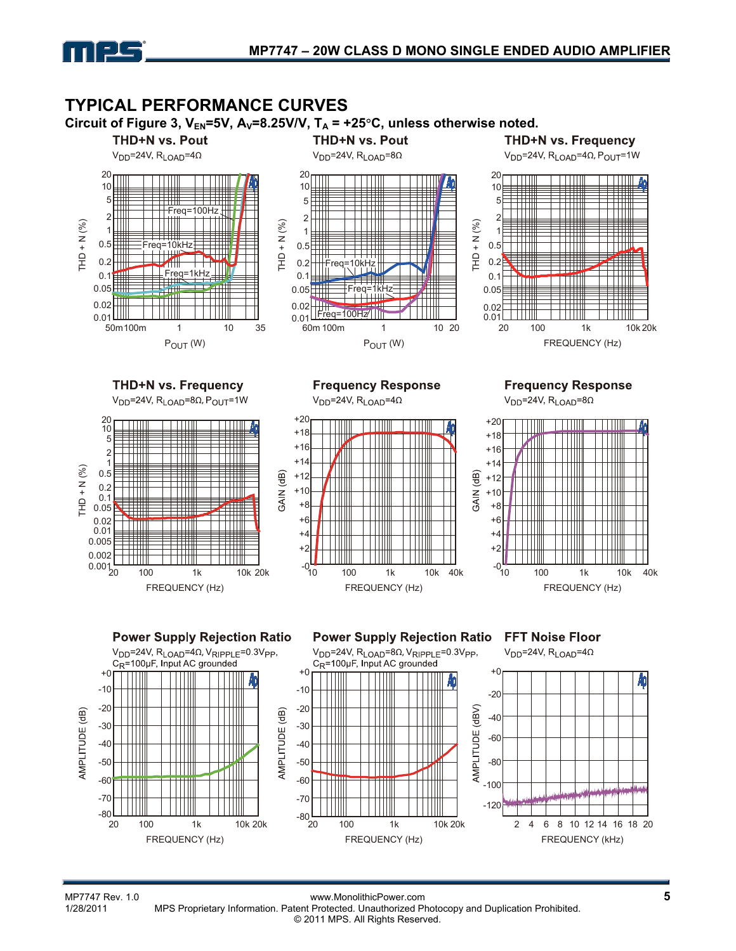

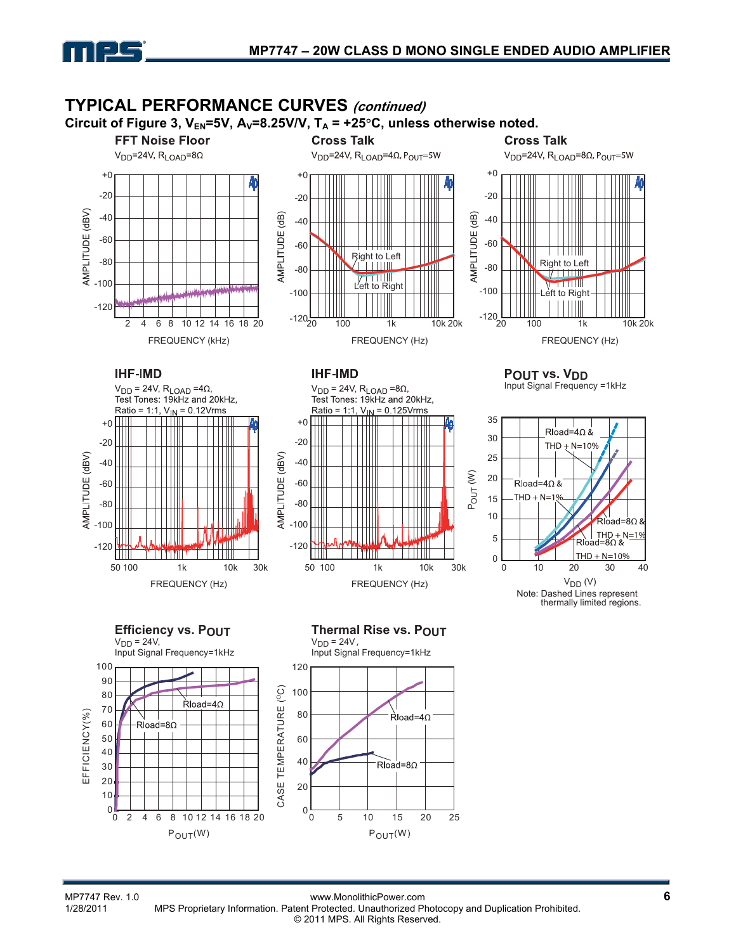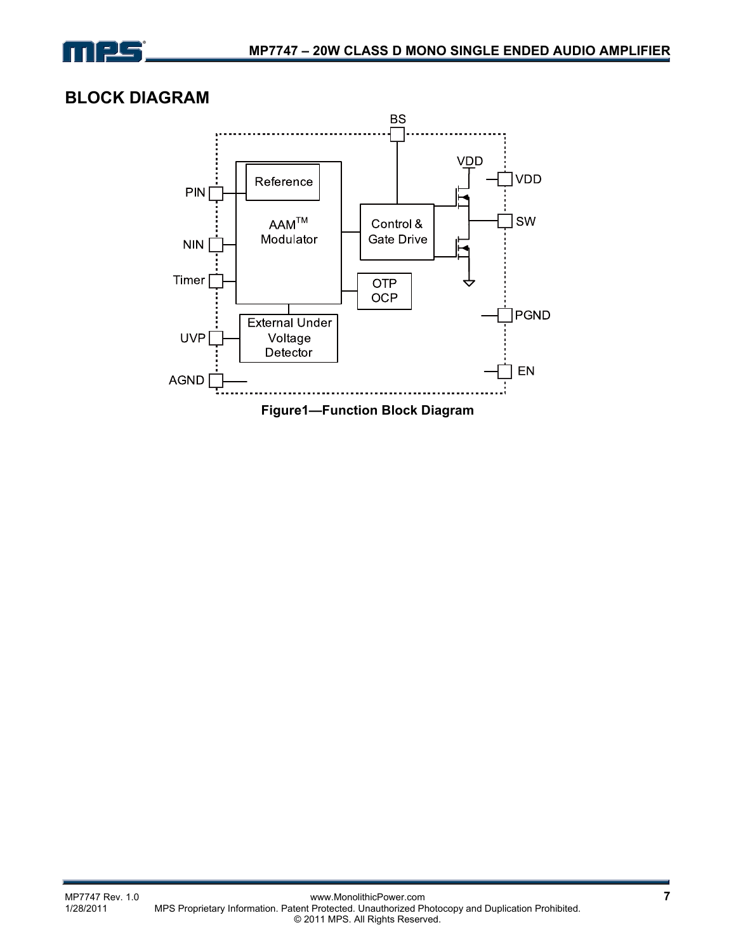

# **BLOCK DIAGRAM**

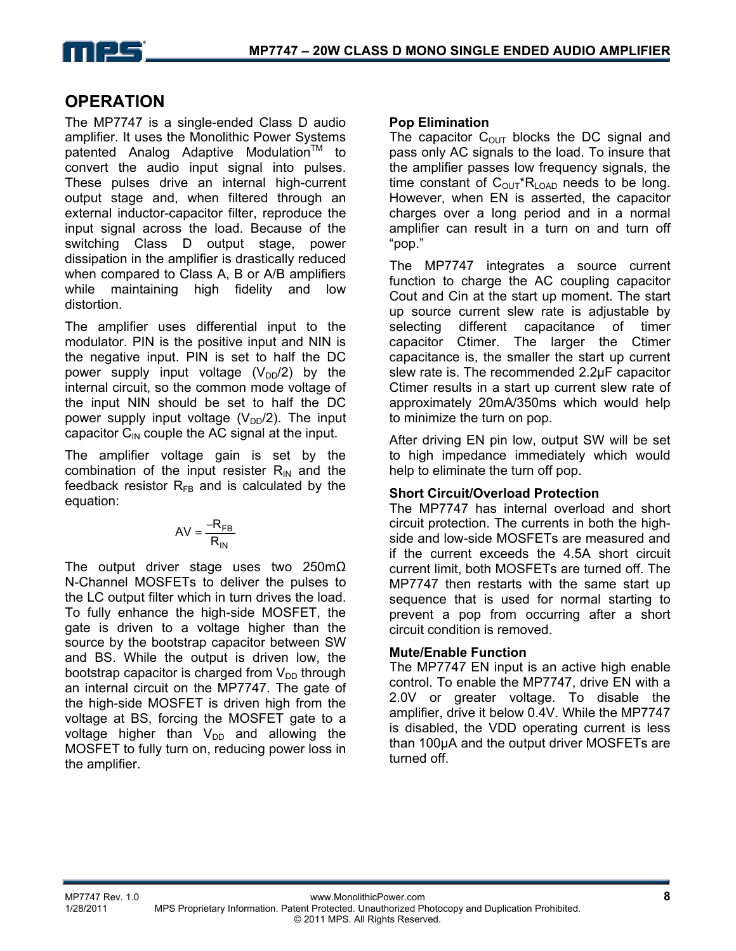

# **OPERATION**

The MP7747 is a single-ended Class D audio amplifier. It uses the Monolithic Power Systems patented Analog Adaptive Modulation<sup>™</sup> to convert the audio input signal into pulses. These pulses drive an internal high-current output stage and, when filtered through an external inductor-capacitor filter, reproduce the input signal across the load. Because of the switching Class D output stage, power dissipation in the amplifier is drastically reduced when compared to Class A, B or A/B amplifiers while maintaining high fidelity and low distortion.

The amplifier uses differential input to the modulator. PIN is the positive input and NIN is the negative input. PIN is set to half the DC power supply input voltage  $(V_{DD}/2)$  by the internal circuit, so the common mode voltage of the input NIN should be set to half the DC power supply input voltage  $(V_{DD}/2)$ . The input capacitor  $C_{\text{IN}}$  couple the AC signal at the input.

The amplifier voltage gain is set by the combination of the input resister  $R_{IN}$  and the feedback resistor  $R_{FB}$  and is calculated by the equation:

$$
AV = \frac{-R_{FB}}{R_{IN}}
$$

The output driver stage uses two 250mΩ N-Channel MOSFETs to deliver the pulses to the LC output filter which in turn drives the load. To fully enhance the high-side MOSFET, the gate is driven to a voltage higher than the source by the bootstrap capacitor between SW and BS. While the output is driven low, the bootstrap capacitor is charged from  $V_{DD}$  through an internal circuit on the MP7747. The gate of the high-side MOSFET is driven high from the voltage at BS, forcing the MOSFET gate to a voltage higher than  $V_{DD}$  and allowing the MOSFET to fully turn on, reducing power loss in the amplifier.

### **Pop Elimination**

The capacitor  $C_{\text{OUT}}$  blocks the DC signal and pass only AC signals to the load. To insure that the amplifier passes low frequency signals, the time constant of  $C_{OUT}R_{LOAD}$  needs to be long. However, when EN is asserted, the capacitor charges over a long period and in a normal amplifier can result in a turn on and turn off "pop."

The MP7747 integrates a source current function to charge the AC coupling capacitor Cout and Cin at the start up moment. The start up source current slew rate is adjustable by selecting different capacitance of timer capacitor Ctimer. The larger the Ctimer capacitance is, the smaller the start up current slew rate is. The recommended 2.2µF capacitor Ctimer results in a start up current slew rate of approximately 20mA/350ms which would help to minimize the turn on pop.

After driving EN pin low, output SW will be set to high impedance immediately which would help to eliminate the turn off pop.

### **Short Circuit/Overload Protection**

The MP7747 has internal overload and short circuit protection. The currents in both the highside and low-side MOSFETs are measured and if the current exceeds the 4.5A short circuit current limit, both MOSFETs are turned off. The MP7747 then restarts with the same start up sequence that is used for normal starting to prevent a pop from occurring after a short circuit condition is removed.

### **Mute/Enable Function**

The MP7747 EN input is an active high enable control. To enable the MP7747, drive EN with a 2.0V or greater voltage. To disable the amplifier, drive it below 0.4V. While the MP7747 is disabled, the VDD operating current is less than 100µA and the output driver MOSFETs are turned off.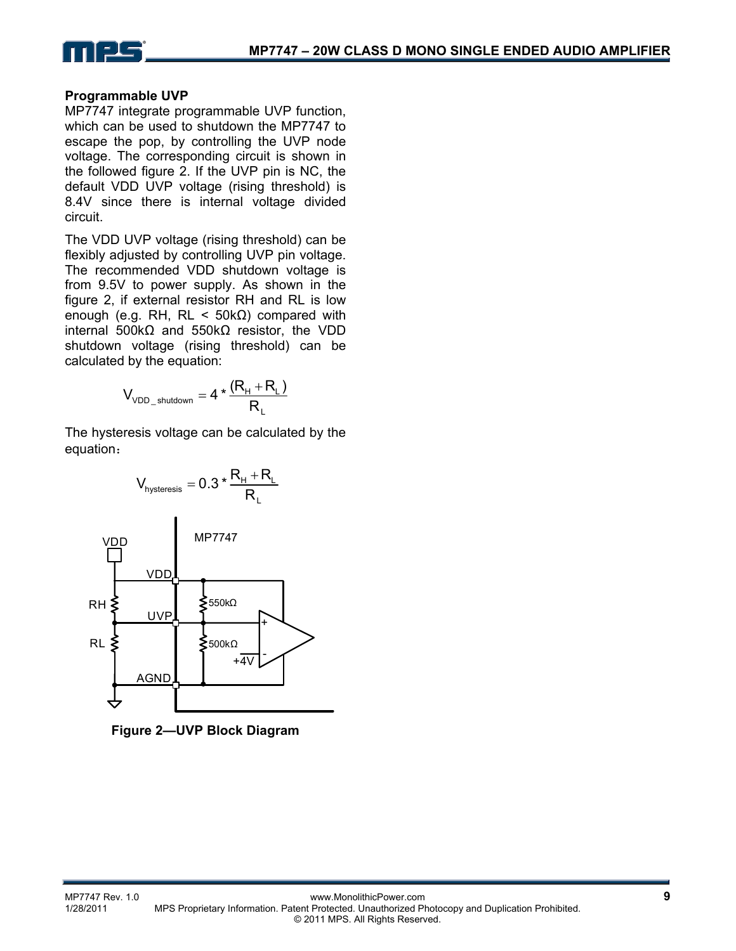

### **Programmable UVP**

MP7747 integrate programmable UVP function, which can be used to shutdown the MP7747 to escape the pop, by controlling the UVP node voltage. The corresponding circuit is shown in the followed figure 2. If the UVP pin is NC, the default VDD UVP voltage (rising threshold) is 8.4V since there is internal voltage divided circuit.

The VDD UVP voltage (rising threshold) can be flexibly adjusted by controlling UVP pin voltage. The recommended VDD shutdown voltage is from 9.5V to power supply. As shown in the figure 2, if external resistor RH and RL is low enough (e.g. RH, RL <  $50kΩ$ ) compared with internal 500kΩ and 550kΩ resistor, the VDD shutdown voltage (rising threshold) can be calculated by the equation:

$$
V_{\text{VDD\_shutdown}} = 4 * \frac{(R_{\text{H}} + R_{\text{L}})}{R_{\text{L}}}
$$

The hysteresis voltage can be calculated by the equation:



**Figure 2—UVP Block Diagram**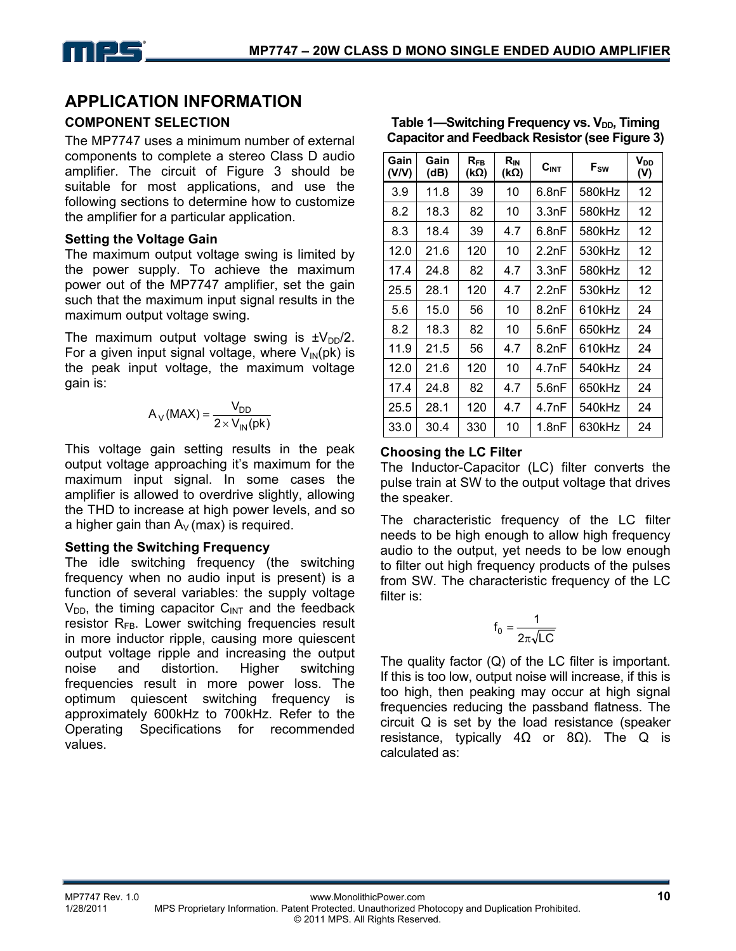# **APPLICATION INFORMATION**

### **COMPONENT SELECTION**

The MP7747 uses a minimum number of external components to complete a stereo Class D audio amplifier. The circuit of Figure 3 should be suitable for most applications, and use the following sections to determine how to customize the amplifier for a particular application.

### **Setting the Voltage Gain**

The maximum output voltage swing is limited by the power supply. To achieve the maximum power out of the MP7747 amplifier, set the gain such that the maximum input signal results in the maximum output voltage swing.

The maximum output voltage swing is  $\pm V_{DD}/2$ . For a given input signal voltage, where  $V_{\text{IN}}(pk)$  is the peak input voltage, the maximum voltage gain is:

$$
A_V(MAX) = \frac{V_{DD}}{2 \times V_{IN}(pk)}
$$

This voltage gain setting results in the peak output voltage approaching it's maximum for the maximum input signal. In some cases the amplifier is allowed to overdrive slightly, allowing the THD to increase at high power levels, and so a higher gain than  $A_V$  (max) is required.

### **Setting the Switching Frequency**

The idle switching frequency (the switching frequency when no audio input is present) is a function of several variables: the supply voltage  $V_{DD}$ , the timing capacitor  $C_{INT}$  and the feedback resistor  $R_{FB}$ . Lower switching frequencies result in more inductor ripple, causing more quiescent output voltage ripple and increasing the output noise and distortion. Higher switching frequencies result in more power loss. The optimum quiescent switching frequency is approximately 600kHz to 700kHz. Refer to the Operating Specifications for recommended values.

| Gain<br>(V/V) | Gain<br>(dB) | $R_{FB}$<br>(kΩ) | $R_{IN}$<br>$(k\Omega)$ | C <sub>INT</sub> | $F_{SW}$ | V <sub>DD</sub><br>(V) |
|---------------|--------------|------------------|-------------------------|------------------|----------|------------------------|
| 3.9           | 11.8         | 39               | 10                      | 6.8nF            | 580kHz   | 12                     |
| 8.2           | 18.3         | 82               | 10                      | 3.3nF            | 580kHz   | 12                     |
| 8.3           | 18.4         | 39               | 4.7                     | 6.8nF            | 580kHz   | 12                     |
| 12.0          | 21.6         | 120              | 10                      | 2.2nF            | 530kHz   | 12                     |
| 17.4          | 24.8         | 82               | 4.7                     | 3.3nF            | 580kHz   | 12                     |
| 25.5          | 28.1         | 120              | 4.7                     | 2.2nF            | 530kHz   | 12                     |
| 5.6           | 15.0         | 56               | 10                      | 8.2nF            | 610kHz   | 24                     |
| 8.2           | 18.3         | 82               | 10                      | 5.6nF            | 650kHz   | 24                     |
| 11.9          | 21.5         | 56               | 4.7                     | 8.2nF            | 610kHz   | 24                     |
| 12.0          | 21.6         | 120              | 10                      | 4.7nF            | 540kHz   | 24                     |
| 17.4          | 24.8         | 82               | 4.7                     | 5.6nF            | 650kHz   | 24                     |
| 25.5          | 28.1         | 120              | 4.7                     | 4.7nF            | 540kHz   | 24                     |
| 33.0          | 30.4         | 330              | 10                      | 1.8nF            | 630kHz   | 24                     |

#### Table 1—Switching Frequency vs. V<sub>DD</sub>, Timing **Capacitor and Feedback Resistor (see Figure 3)**

### **Choosing the LC Filter**

The Inductor-Capacitor (LC) filter converts the pulse train at SW to the output voltage that drives the speaker.

The characteristic frequency of the LC filter needs to be high enough to allow high frequency audio to the output, yet needs to be low enough to filter out high frequency products of the pulses from SW. The characteristic frequency of the LC filter is:

$$
f_0 = \frac{1}{2\pi\sqrt{LC}}
$$

The quality factor  $(Q)$  of the LC filter is important. If this is too low, output noise will increase, if this is too high, then peaking may occur at high signal frequencies reducing the passband flatness. The circuit Q is set by the load resistance (speaker resistance, typically  $4Ω$  or  $8Ω$ ). The Q is calculated as: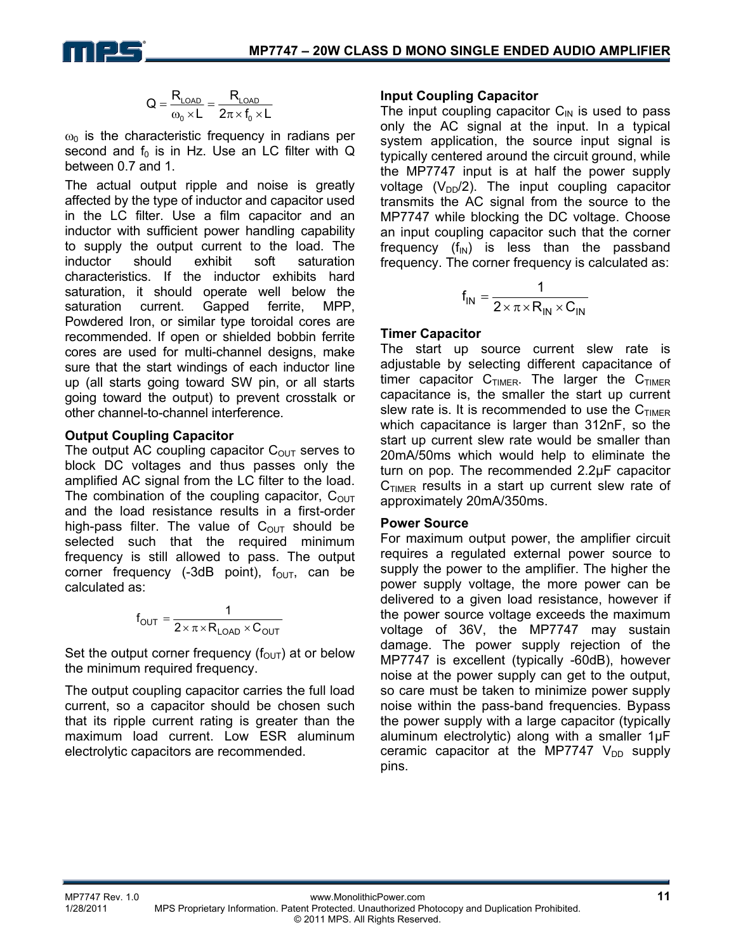

$$
Q=\frac{R_{\text{LOAD}}}{\omega_o\times L}=\frac{R_{\text{LOAD}}}{2\pi\times f_o\times L}
$$

 $\omega_0$  is the characteristic frequency in radians per second and  $f_0$  is in Hz. Use an LC filter with Q between 0.7 and 1.

The actual output ripple and noise is greatly affected by the type of inductor and capacitor used in the LC filter. Use a film capacitor and an inductor with sufficient power handling capability to supply the output current to the load. The inductor should exhibit soft saturation characteristics. If the inductor exhibits hard saturation, it should operate well below the saturation current. Gapped ferrite, MPP, Powdered Iron, or similar type toroidal cores are recommended. If open or shielded bobbin ferrite cores are used for multi-channel designs, make sure that the start windings of each inductor line up (all starts going toward SW pin, or all starts going toward the output) to prevent crosstalk or other channel-to-channel interference.

### **Output Coupling Capacitor**

The output AC coupling capacitor  $C_{\text{OUT}}$  serves to block DC voltages and thus passes only the amplified AC signal from the LC filter to the load. The combination of the coupling capacitor,  $C<sub>OUT</sub>$ and the load resistance results in a first-order high-pass filter. The value of  $C_{\text{OUT}}$  should be selected such that the required minimum frequency is still allowed to pass. The output corner frequency (-3dB point),  $f_{\text{OUT}}$ , can be calculated as:

$$
f_{\text{OUT}} = \frac{1}{2 \times \pi \times R_{\text{LOAD}} \times C_{\text{OUT}}}
$$

Set the output corner frequency ( $f_{\text{OUT}}$ ) at or below the minimum required frequency.

The output coupling capacitor carries the full load current, so a capacitor should be chosen such that its ripple current rating is greater than the maximum load current. Low ESR aluminum electrolytic capacitors are recommended.

### **Input Coupling Capacitor**

The input coupling capacitor  $C_{\text{IN}}$  is used to pass only the AC signal at the input. In a typical system application, the source input signal is typically centered around the circuit ground, while the MP7747 input is at half the power supply voltage  $(V_{DD}/2)$ . The input coupling capacitor transmits the AC signal from the source to the MP7747 while blocking the DC voltage. Choose an input coupling capacitor such that the corner frequency  $(f_{IN})$  is less than the passband frequency. The corner frequency is calculated as:

$$
f_{IN} = \frac{1}{2 \times \pi \times R_{IN} \times C_{IN}}
$$

### **Timer Capacitor**

The start up source current slew rate is adjustable by selecting different capacitance of timer capacitor  $C_{TIMER}$ . The larger the  $C_{TIMER}$ capacitance is, the smaller the start up current slew rate is. It is recommended to use the  $C_{TIMER}$ which capacitance is larger than 312nF, so the start up current slew rate would be smaller than 20mA/50ms which would help to eliminate the turn on pop. The recommended 2.2µF capacitor  $C_{TIMER}$  results in a start up current slew rate of approximately 20mA/350ms.

#### **Power Source**

For maximum output power, the amplifier circuit requires a regulated external power source to supply the power to the amplifier. The higher the power supply voltage, the more power can be delivered to a given load resistance, however if the power source voltage exceeds the maximum voltage of 36V, the MP7747 may sustain damage. The power supply rejection of the MP7747 is excellent (typically -60dB), however noise at the power supply can get to the output, so care must be taken to minimize power supply noise within the pass-band frequencies. Bypass the power supply with a large capacitor (typically aluminum electrolytic) along with a smaller 1µF ceramic capacitor at the MP7747  $V_{DD}$  supply pins.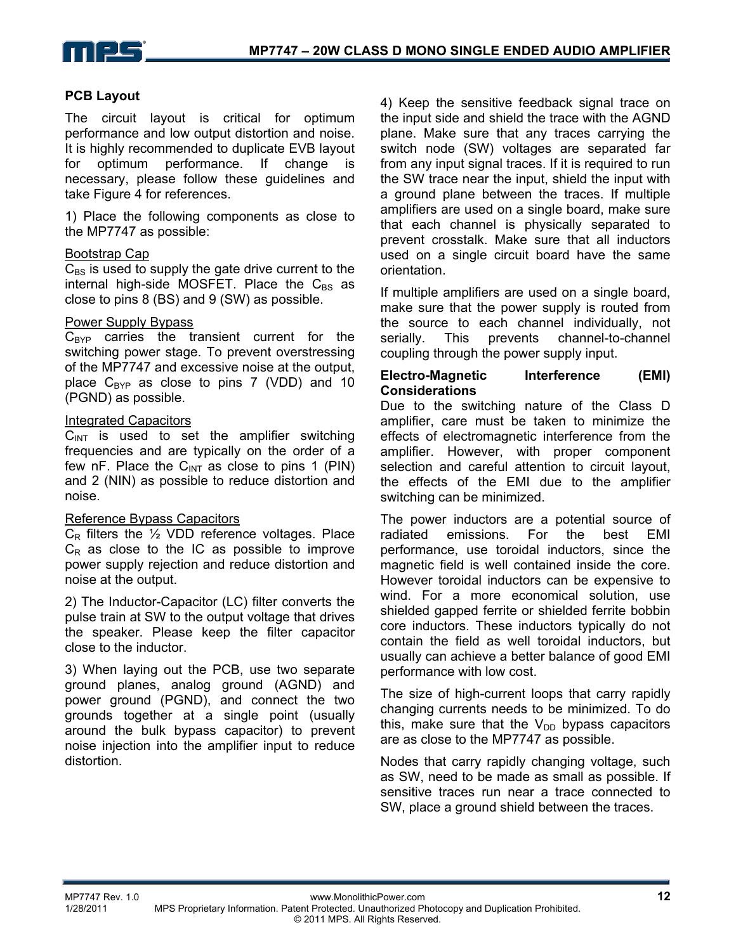

#### **PCB Layout**

The circuit layout is critical for optimum performance and low output distortion and noise. It is highly recommended to duplicate EVB layout for optimum performance. If change is necessary, please follow these guidelines and take Figure 4 for references.

1) Place the following components as close to the MP7747 as possible:

#### Bootstrap Cap

 $C_{BS}$  is used to supply the gate drive current to the internal high-side MOSFET. Place the  $C_{BS}$  as close to pins 8 (BS) and 9 (SW) as possible.

#### Power Supply Bypass

 $C_{BYP}$  carries the transient current for the switching power stage. To prevent overstressing of the MP7747 and excessive noise at the output, place  $C_{BYP}$  as close to pins 7 (VDD) and 10 (PGND) as possible.

#### Integrated Capacitors

 $C<sub>INT</sub>$  is used to set the amplifier switching frequencies and are typically on the order of a few nF. Place the  $C<sub>INT</sub>$  as close to pins 1 (PIN) and 2 (NIN) as possible to reduce distortion and noise.

#### Reference Bypass Capacitors

 $C_R$  filters the  $\frac{1}{2}$  VDD reference voltages. Place  $C_R$  as close to the IC as possible to improve power supply rejection and reduce distortion and noise at the output.

2) The Inductor-Capacitor (LC) filter converts the pulse train at SW to the output voltage that drives the speaker. Please keep the filter capacitor close to the inductor.

3) When laying out the PCB, use two separate ground planes, analog ground (AGND) and power ground (PGND), and connect the two grounds together at a single point (usually around the bulk bypass capacitor) to prevent noise injection into the amplifier input to reduce distortion.

4) Keep the sensitive feedback signal trace on the input side and shield the trace with the AGND plane. Make sure that any traces carrying the switch node (SW) voltages are separated far from any input signal traces. If it is required to run the SW trace near the input, shield the input with a ground plane between the traces. If multiple amplifiers are used on a single board, make sure that each channel is physically separated to prevent crosstalk. Make sure that all inductors used on a single circuit board have the same orientation.

If multiple amplifiers are used on a single board, make sure that the power supply is routed from the source to each channel individually, not serially. This prevents channel-to-channel coupling through the power supply input.

#### **Electro-Magnetic Interference (EMI) Considerations**

Due to the switching nature of the Class D amplifier, care must be taken to minimize the effects of electromagnetic interference from the amplifier. However, with proper component selection and careful attention to circuit layout, the effects of the EMI due to the amplifier switching can be minimized.

The power inductors are a potential source of radiated emissions. For the best EMI performance, use toroidal inductors, since the magnetic field is well contained inside the core. However toroidal inductors can be expensive to wind. For a more economical solution, use shielded gapped ferrite or shielded ferrite bobbin core inductors. These inductors typically do not contain the field as well toroidal inductors, but usually can achieve a better balance of good EMI performance with low cost.

The size of high-current loops that carry rapidly changing currents needs to be minimized. To do this, make sure that the  $V_{DD}$  bypass capacitors are as close to the MP7747 as possible.

Nodes that carry rapidly changing voltage, such as SW, need to be made as small as possible. If sensitive traces run near a trace connected to SW, place a ground shield between the traces.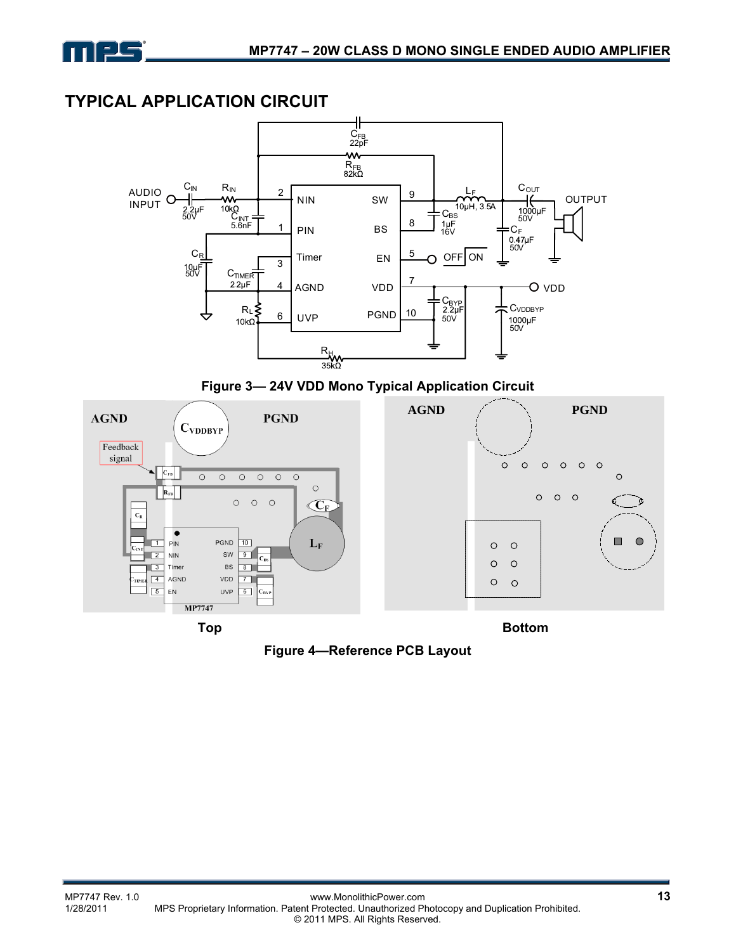

# **TYPICAL APPLICATION CIRCUIT**



**Figure 3— 24V VDD Mono Typical Application Circuit**